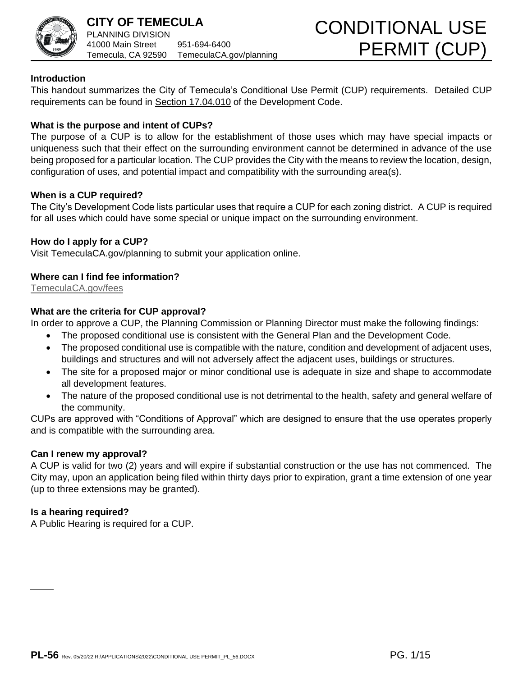

# **Introduction**

This handout summarizes the City of Temecula's Conditional Use Permit (CUP) requirements. Detailed CUP requirements can be found in [Section 17.04.010](http://www.qcode.us/codes/temecula/view.php?topic=17-17_04-17_04_010&frames=on) of the Development Code.

# **What is the purpose and intent of CUPs?**

The purpose of a CUP is to allow for the establishment of those uses which may have special impacts or uniqueness such that their effect on the surrounding environment cannot be determined in advance of the use being proposed for a particular location. The CUP provides the City with the means to review the location, design, configuration of uses, and potential impact and compatibility with the surrounding area(s).

## **When is a CUP required?**

The City's Development Code lists particular uses that require a CUP for each zoning district. A CUP is required for all uses which could have some special or unique impact on the surrounding environment.

## **How do I apply for a CUP?**

Visit TemeculaCA.gov/planning to submit your application online.

## **Where can I find fee information?**

TemeculaCA.gov/fees

## **What are the criteria for CUP approval?**

In order to approve a CUP, the Planning Commission or Planning Director must make the following findings:

- The proposed conditional use is consistent with the General Plan and the Development Code.
- [The proposed c](http://www.temeculaca.gov/fees)onditional use is compatible with the nature, condition and development of adjacent uses, buildings and structures and will not adversely affect the adjacent uses, buildings or structures.
- The site for a proposed major or minor conditional use is adequate in size and shape to accommodate all development features.
- The nature of the proposed conditional use is not detrimental to the health, safety and general welfare of the community.

CUPs are approved with "Conditions of Approval" which are designed to ensure that the use operates properly and is compatible with the surrounding area.

## **Can I renew my approval?**

A CUP is valid for two (2) years and will expire if substantial construction or the use has not commenced. The City may, upon an application being filed within thirty days prior to expiration, grant a time extension of one year (up to three extensions may be granted).

## **Is a hearing required?**

A Public Hearing is required for a CUP.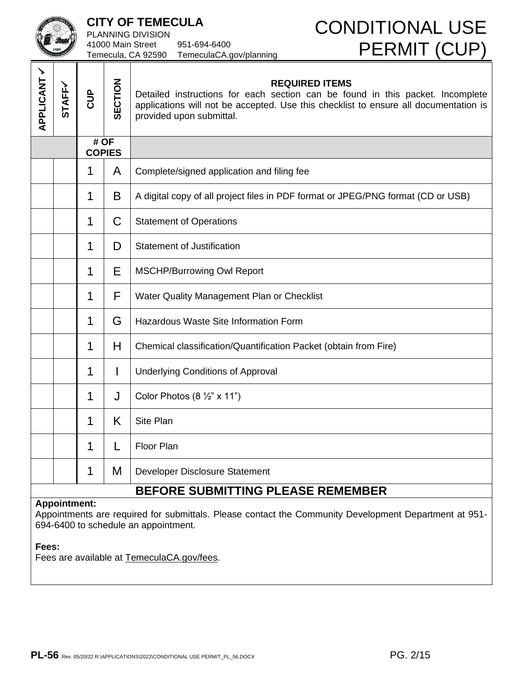|                                                                                                                                                                                                                             |               | <b>CITY OF TEMECULA</b><br>PLANNING DIVISION<br>41000 Main Street<br>951-694-6400<br>Temecula, CA 92590<br>TemeculaCA.gov/planning |                | <b>CONDITIONAL USE</b><br><b>PERMIT (CUP)</b>                                                                                                                                                                               |  |
|-----------------------------------------------------------------------------------------------------------------------------------------------------------------------------------------------------------------------------|---------------|------------------------------------------------------------------------------------------------------------------------------------|----------------|-----------------------------------------------------------------------------------------------------------------------------------------------------------------------------------------------------------------------------|--|
| APPLICANT /                                                                                                                                                                                                                 | <b>STAFFY</b> | <b>BUD</b>                                                                                                                         | <b>SECTION</b> | <b>REQUIRED ITEMS</b><br>Detailed instructions for each section can be found in this packet. Incomplete<br>applications will not be accepted. Use this checklist to ensure all documentation is<br>provided upon submittal. |  |
|                                                                                                                                                                                                                             |               | # OF                                                                                                                               | <b>COPIES</b>  |                                                                                                                                                                                                                             |  |
|                                                                                                                                                                                                                             |               | 1                                                                                                                                  | A              | Complete/signed application and filing fee                                                                                                                                                                                  |  |
|                                                                                                                                                                                                                             |               | 1                                                                                                                                  | B              | A digital copy of all project files in PDF format or JPEG/PNG format (CD or USB)                                                                                                                                            |  |
|                                                                                                                                                                                                                             |               | 1                                                                                                                                  | C              | <b>Statement of Operations</b>                                                                                                                                                                                              |  |
|                                                                                                                                                                                                                             |               | 1                                                                                                                                  | D              | <b>Statement of Justification</b>                                                                                                                                                                                           |  |
|                                                                                                                                                                                                                             |               | 1                                                                                                                                  | Ε              | <b>MSCHP/Burrowing Owl Report</b>                                                                                                                                                                                           |  |
|                                                                                                                                                                                                                             |               | 1                                                                                                                                  | F              | Water Quality Management Plan or Checklist                                                                                                                                                                                  |  |
|                                                                                                                                                                                                                             |               | 1                                                                                                                                  | G              | Hazardous Waste Site Information Form                                                                                                                                                                                       |  |
|                                                                                                                                                                                                                             |               | 1                                                                                                                                  | H              | Chemical classification/Quantification Packet (obtain from Fire)                                                                                                                                                            |  |
|                                                                                                                                                                                                                             |               | 1                                                                                                                                  | L              | <b>Underlying Conditions of Approval</b>                                                                                                                                                                                    |  |
|                                                                                                                                                                                                                             |               | 1                                                                                                                                  |                | Color Photos $(8 \frac{1}{2} x 11^x)$                                                                                                                                                                                       |  |
|                                                                                                                                                                                                                             |               | 1                                                                                                                                  | K              | Site Plan                                                                                                                                                                                                                   |  |
|                                                                                                                                                                                                                             |               | 1                                                                                                                                  | L              | Floor Plan                                                                                                                                                                                                                  |  |
|                                                                                                                                                                                                                             |               | 1                                                                                                                                  | M              | Developer Disclosure Statement                                                                                                                                                                                              |  |
|                                                                                                                                                                                                                             |               |                                                                                                                                    |                | <b>BEFORE SUBMITTING PLEASE REMEMBER</b>                                                                                                                                                                                    |  |
| <b>Appointment:</b><br>Appointments are required for submittals. Please contact the Community Development Department at 951-<br>694-6400 to schedule an appointment.<br>Fees:<br>Fees are available at TemeculaCA.gov/fees. |               |                                                                                                                                    |                |                                                                                                                                                                                                                             |  |
|                                                                                                                                                                                                                             |               |                                                                                                                                    |                | PG. 2/15<br>$\textsf{PL-56}$ Rev. 05/20/22 R:\APPLICATIONS\2022\CONDITIONAL USE PERMIT_PL_56.DOCX                                                                                                                           |  |

### **Fees:**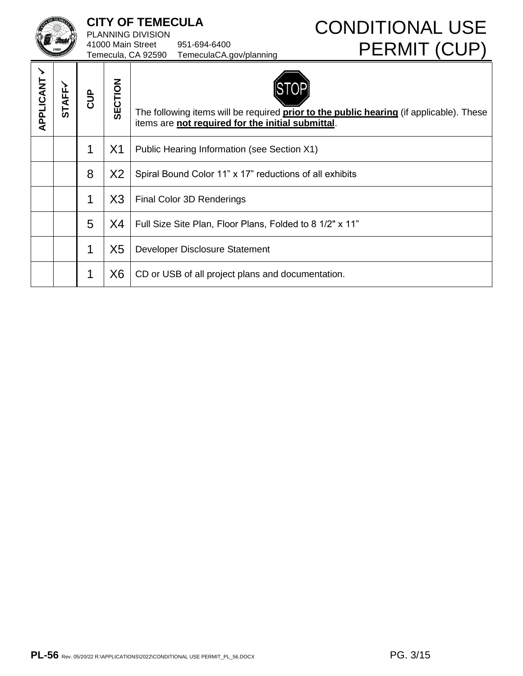PLANNING DIVISION 41000 Main Street 951-694-6400 Temecula, CA 92590 TemeculaCA.gov/planning

# **CITY OF TEMECULA CONDITIONAL USE** PERMIT (CUP)

| <b>APPLICANT /</b> | <b>STAFF-</b> | <b>BUD</b>  | SECTION        | The following items will be required <b>prior to the public hearing</b> (if applicable). These<br>items are not required for the initial submittal. |
|--------------------|---------------|-------------|----------------|-----------------------------------------------------------------------------------------------------------------------------------------------------|
|                    |               | 1           | X1             | Public Hearing Information (see Section X1)                                                                                                         |
|                    |               | 8           | X2             | Spiral Bound Color 11" x 17" reductions of all exhibits                                                                                             |
|                    |               | $\mathbf 1$ | X3             | Final Color 3D Renderings                                                                                                                           |
|                    |               | 5           | X4             | Full Size Site Plan, Floor Plans, Folded to 8 1/2" x 11"                                                                                            |
|                    |               | 1           | X <sub>5</sub> | Developer Disclosure Statement                                                                                                                      |
|                    |               | 1           | X <sub>6</sub> | CD or USB of all project plans and documentation.                                                                                                   |
|                    |               |             |                |                                                                                                                                                     |
|                    |               |             |                | PG. 3/15<br>PL-56 Rev. 05/20/22 R:\APPLICATIONS\2022\CONDITIONAL USE PERMIT_PL_56.DOCX                                                              |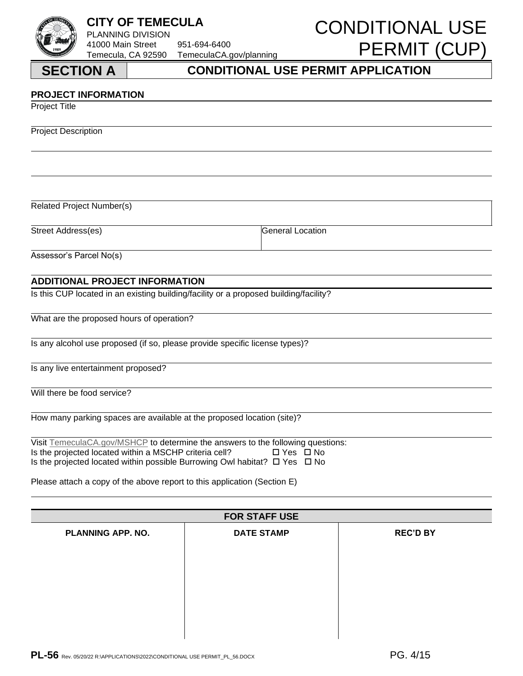PLANNING DIVISION 41000 Main Street 951-694-6400 Temecula, CA 92590 TemeculaCA.gov/planning

# **CITY OF TEMECULA CONDITIONAL USE** PERMIT (CUP)

# **PROJECT INFORMATION**

Project Title

Project Description

Related Project Number(s)

Street Address(es) General Location

Assessor's Parcel No(s)

## **ADDITIONAL PROJECT INFORMATION**

Is this CUP located in an existing building/facility or a proposed building/facility?

What are the proposed hours of operation?

Is any alcohol use proposed (if so, please provide specific license types)?

Is any live entertainment proposed?

Will there be food service?

How many parking spaces are available at the proposed location (site)?

| Visit TemeculaCA.gov/MSHCP to determine the answers to the following questions:            |            |  |
|--------------------------------------------------------------------------------------------|------------|--|
| Is the projected located within a MSCHP criteria cell?                                     | □ Yes □ No |  |
| Is the projected located within possible Burrowing Owl habitat? $\square$ Yes $\square$ No |            |  |

Please attach a copy of the above report to this application (Section E)

| <b>FOR STAFF USE</b>     |                   |                 |  |  |  |  |
|--------------------------|-------------------|-----------------|--|--|--|--|
| <b>PLANNING APP. NO.</b> | <b>DATE STAMP</b> | <b>REC'D BY</b> |  |  |  |  |
|                          |                   |                 |  |  |  |  |
|                          |                   |                 |  |  |  |  |
|                          |                   |                 |  |  |  |  |
|                          |                   |                 |  |  |  |  |
|                          |                   |                 |  |  |  |  |
|                          |                   |                 |  |  |  |  |
|                          |                   |                 |  |  |  |  |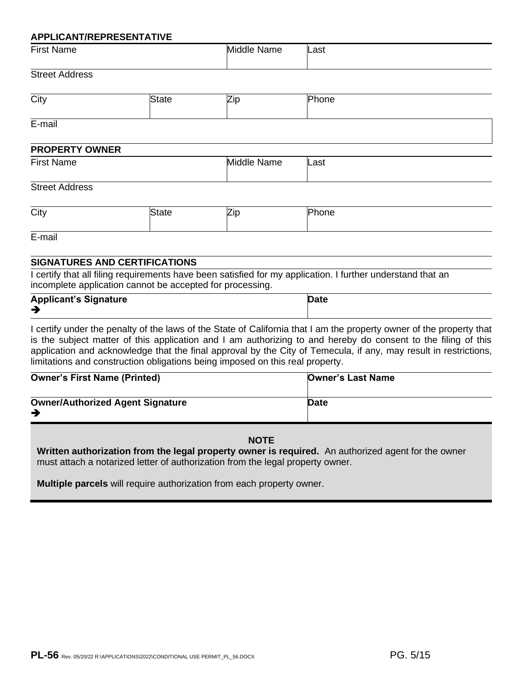### **APPLICANT/REPRESENTATIVE**

| First<br>Name | Middle<br>Name | ∟ast |
|---------------|----------------|------|
|               |                |      |

# Street Address

| City   |  | Phone |
|--------|--|-------|
| E-mail |  |       |

| <b>PROPERTY OWNER</b> |                |      |  |  |  |
|-----------------------|----------------|------|--|--|--|
| <b>First Name</b>     | Middle<br>Name | Last |  |  |  |

### Street Address

| City |  | <br>. . |  |  |
|------|--|---------|--|--|
|------|--|---------|--|--|

E-mail

# **SIGNATURES AND CERTIFICATIONS**

I certify that all filing requirements have been satisfied for my application. I further understand that an incomplete application cannot be accepted for processing.

| <b>Applicant's Signature</b> | <b>Date</b> |
|------------------------------|-------------|
| ╼                            |             |

I certify under the penalty of the laws of the State of California that I am the property owner of the property that is the subject matter of this application and I am authorizing to and hereby do consent to the filing of this application and acknowledge that the final approval by the City of Temecula, if any, may result in restrictions, limitations and construction obligations being imposed on this real property.

| <b>Owner's First Name (Printed)</b>     | <b>Owner's Last Name</b> |
|-----------------------------------------|--------------------------|
| <b>Owner/Authorized Agent Signature</b> | Date                     |

### **NOTE**

**Written authorization from the legal property owner is required.** An authorized agent for the owner must attach a notarized letter of authorization from the legal property owner.

**Multiple parcels** will require authorization from each property owner.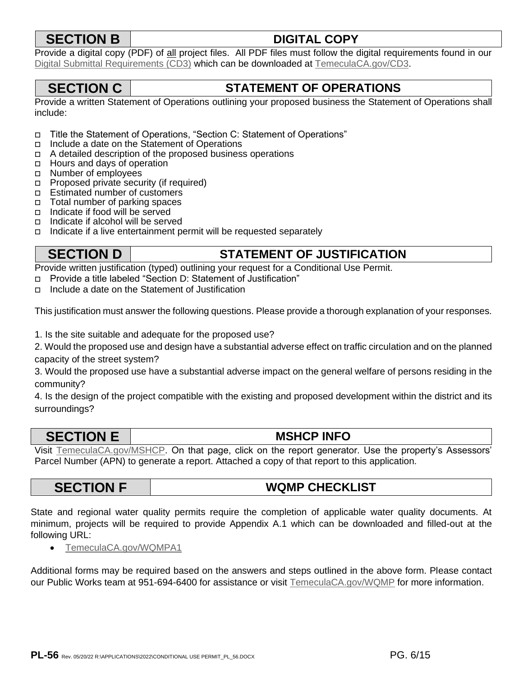# **SECTION B DIGITAL COPY**

Provide a digital copy (PDF) of all project files. All PDF files must follow the digital requirements found in our Digital Submittal Requirements (CD3) which can be downloaded at TemeculaCA.gov/CD3.

# **SECTION C STATEMENT OF OPERATIONS**

Provide a written Statement of Operations outlining your proposed business the Statement of Operations shall include:

- Title the Statement of Operations, "Section C: Statement of Operations"
- Include a date on the Statement of Operations
- $\Box$  A detailed description of the proposed business operations
- □ Hours and days of operation
- □ Number of employees
- □ Proposed private security (if required)
- □ Estimated number of customers
- □ Total number of parking spaces
- $\Box$  Indicate if food will be served
- Indicate if alcohol will be served
- Indicate if a live entertainment permit will be requested separately

# **SECTION D STATEMENT OF JUSTIFICATION**

Provide written justification (typed) outlining your request for a Conditional Use Permit.

- Provide a title labeled "Section D: Statement of Justification"
- Include a date on the Statement of Justification

This justification must answer the following questions. Please provide a thorough explanation of your responses.

1. Is the site suitable and adequate for the proposed use?

2. Would the proposed use and design have a substantial adverse effect on traffic circulation and on the planned capacity of the street system?

3. Would the proposed use have a substantial adverse impact on the general welfare of persons residing in the community?

4. Is the design of the project compatible with the existing and proposed development within the district and its surroundings?

# **SECTION E MSHCP INFO**

Visit TemeculaCA.gov/MSHCP. On that page, click on the report generator. Use the property's Assessors' Parcel Number (APN) to generate a report. Attached a copy of that report to this application.

# **SECTION F WQMP CHECKLIST**

State and regional water quality permits require the completion of applicable water quality documents. At minimum, projects will be required to provide Appendix A.1 which can be downloaded and filled-out at the following URL:

• TemeculaCA.gov/WQMPA1

Additional forms may be required based on the answers and steps outlined in the above form. Please contact our Public Works team at 951-694-6400 for assistance or visit TemeculaCA.gov/WQMP for more information.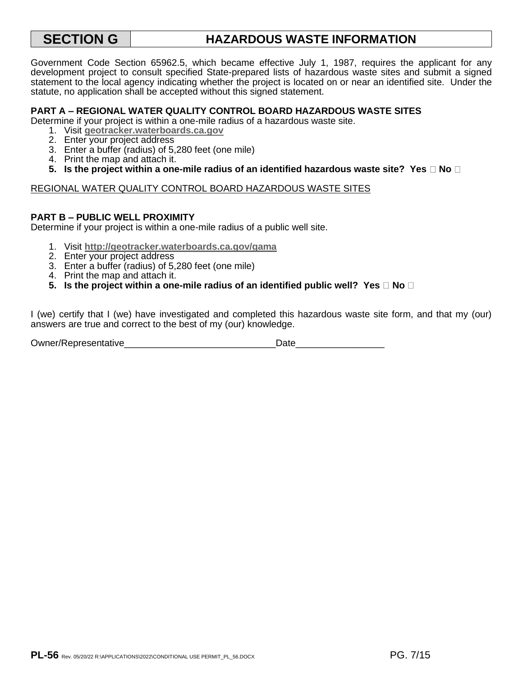# **SECTION G HAZARDOUS WASTE INFORMATION**

Government Code Section 65962.5, which became effective July 1, 1987, requires the applicant for any development project to consult specified State-prepared lists of hazardous waste sites and submit a signed statement to the local agency indicating whether the project is located on or near an identified site. Under the statute, no application shall be accepted without this signed statement.

### **PART A – REGIONAL WATER QUALITY CONTROL BOARD HAZARDOUS WASTE SITES**

Determine if your project is within a one-mile radius of a hazardous waste site.

- 1. Visit **geotracker.waterboards.ca.gov**
- 2. Enter your project address
- 3. Enter a buffer (radius) of 5,280 feet (one mile)
- 4. Print the map and attach it.
- **5.** Is the project within a one-mile radius of an identified hazardous waste site? Yes  $\Box$  No  $\Box$

### REGIONAL WATER QUALITY CONTROL BOARD HAZARDOUS WASTE SITES

### **PART B – PUBLIC WELL PROXIMITY**

Deter[mine if your project is within](https://temeculaca.gov/MSHCP) a one-mile radius of a public well site.

- 1. Visit **http://geotracker.waterboards.ca.gov/gama**
- 2. Enter your project address
- 3. Enter a buffer (radius) of 5,280 feet (one mile)
- 4. Print the map and attach it.
- **5.** Is the project within a one-mile radius of an identified public well? Yes  $\Box$  No  $\Box$

I (we) certify that I (we) have investigated and completed this hazardous waste site form, and that my (our) answer[s are true and correct to the b](http://temeculaca.gov/WQMPA1)est of my (our) knowledge.

Owner/Representative\_\_\_\_\_\_\_\_\_\_\_\_\_\_\_\_\_\_\_\_\_\_\_\_\_\_\_\_\_Date\_\_\_\_\_\_\_\_\_\_\_\_\_\_\_\_\_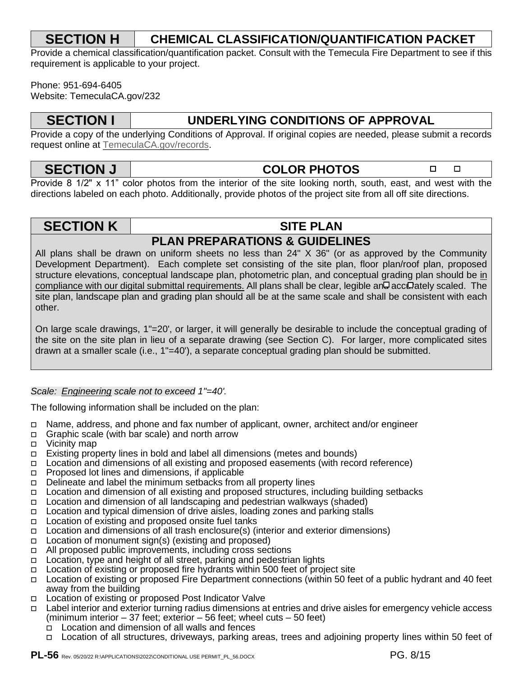# **SECTION H CHEMICAL CLASSIFICATION/QUANTIFICATION PACKET**

Provide a chemical classification/quantification packet. Consult with the Temecula Fire Department to see if this requirement is applicable to your project.

Phone: 951-694-6405 Website: TemeculaCA.gov/232

# **SECTION I UNDERLYING CONDITIONS OF APPROVAL**

Provide a c[opy of the underlying Conditions of](http://geotracker.waterboards.ca.gov/) Approval. If original copies are needed, please submit a records request online at TemeculaCA.gov/records.

**SECTION J COLOR PHOTOS** 

 $\Box$ 

 $\Box$ 

Provide 8 1/2" x 11" color photos from the interior of the site looking north, south, east, and west with the directions labeled on each photo. Additionally, provide photos of the project site from all off site directions.

# **SECTION K SITE PLAN**

# **[PLAN PREPARATIONS](http://geotracker.waterboards.ca.gov/gama) & GUIDELINES**

All plans shall be drawn on uniform sheets no less than 24" X 36" (or as approved by the Community Development Department). Each complete set consisting of the site plan, floor plan/roof plan, proposed structure elevations, conceptual landscape plan, photometric plan, and conceptual grading plan should be in compliance with our digital submittal requirements. All plans shall be clear, legible an uccurately scaled. The site plan, landscape plan and grading plan should all be at the same scale and shall be consistent with each other.

On large scale drawings, 1"=20', or larger, it will generally be desirable to include the conceptual grading of the site on the site plan in lieu of a separate drawing (see Section C). For larger, more complicated sites drawn at a smaller scale (i.e., 1"=40'), a separate conceptual grading plan should be submitted.

# *Scale: Engineering scale not to exceed 1"=40'.*

The following information shall be included on the plan:

- Name, address, and phone and fax number of applicant, owner, architect and/or engineer
- Graphic scale (with bar scale) and north arrow
- Vicinity map
- Existing property lines in bold and label all dimensions (metes and bounds)
- □ Location and dimensions of all existing and proposed easements (with record reference)
- Proposed lot lines and dimensions, if applicable
- Delineate and label the minimum setbacks from all property lines
- □ Location and dimension of all existing and proposed structures, including building setbacks
- □ Location and dimension of all landscaping and pedestrian walkways (shaded)
- Location and typical dimension of drive aisles, loading zones and parking stalls
- □ Location of existing and proposed onsite fuel tanks
- Location and dimensions of all trash enclosure(s) (interior and exterior dimensions)
- $\Box$  Location of monument sign(s) (existing and proposed)
- □ All proposed public improvements, including cross sections
- □ Location, type and height of all street, parking and pedestrian lights
- □ Location of existing or proposed fire hydrants within 500 feet of project site
- Location of existing or proposed Fire Department connections (within 50 feet of a public hydrant and 40 feet away from the building
- Location of existing or proposed Post Indicator Valve
- Label interior and exterior turning radius dimensions at entries and drive aisles for emergency vehicle access (minimum interior – 37 feet; exterior – 56 feet; wheel cuts – 50 feet)
	- Location and dimension of all walls and fences
	- Location of all structures, driveways, parking areas, trees and adjoining property lines within 50 feet of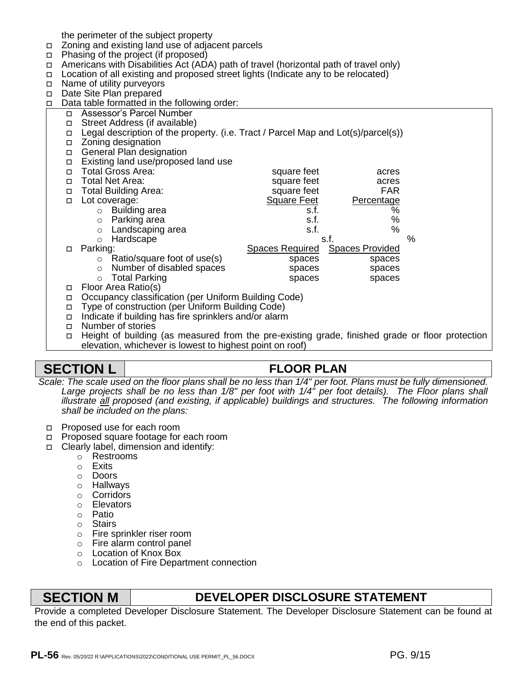the perimeter of the subject property

- Zoning and existing land use of adjacent parcels
- □ Phasing of the project (if proposed)
- $\Box$  Americans with Disabilities Act (ADA) path of travel (horizontal path of travel only)
- Location of all existing and proposed street lights (Indicate any to be relocated)
- □ Name of utility purveyors
- Date Site Plan prepared
- $\Box$  Data table formatted in the following order:
	- Assessor's Parcel Number
	- □ Street Address (if available)
	- Legal description of the property. (i.e. Tract / Parcel Map and Lot(s)/parcel(s))
	- □ Zoning designation
	- □ General Plan designation
	- Existing land use/proposed land use Total Gross Area: square feet acres
	-
	- Total Net Area: square feet acres
	- □ Total Building Area: square feet FAR
	- Lot coverage: Square Feet Percentage
		- o Building area s.f. Suiding area s.f. Suiding area s.f. Suiding  $\sim$  S.f. Suiding area s.f. Suiding  $\sim$  S.f. Suiding area s.c. Suiding  $\sim$  S.f. Suiding area s.f. Suiding area s.f. Suiding area s.f. Suiding area s.f. Sui
		-
- o Parking area s.f. which is a set of the state of the state of the s.f. which is a s.f. which is a s.f. which is a set of the set of the set of the set of the set of the set of the set of the set of the set of the set of o Landscaping area s.f. \$1.55 s.f. \$1.55 s.f. \$1.55 s.f. \$1.55 s.f. \$1.55 s.f. \$1.55 s.f. \$1.55 s.f. \$1.55 s.f.
	- o Hardscape  $\sim$  8.f.  $\sim$  %
	-
	- Parking: Spaces Required Spaces Provided
		- o Ratio/square foot of use(s) spaces spaces
		- o Number of disabled spaces spaces spaces o Total Parking strategies and spaces spaces spaces spaces spaces spaces spaces spaces spaces spaces
	- Floor Area Ratio(s)
	- Occupancy classification (per Uniform Building Code)
	- Type of construction (per Uniform Building Code)
	- □ Indicate if building has fire sprinklers and/or alarm
	- □ Number of stories
	- Height of building (as measured from the pre-existing grade, finished grade or floor protection elevation, whichever is lowest to highest point on roof)

# **SECTION L FLOOR PLAN**

*Scale: The scale used on the floor plans shall be no less than 1/4" per foot. Plans must be fully dimensioned.*  Large projects shall be no less than 1/8" per foot with 1/4" per foot details). The Floor plans shall *illustrate all proposed (and existing, if applicable) buildings and structures. The following information shall be included on the plans:*

- Proposed use for each room
- □ Proposed square footage for each room
- □ Clearly label, dimension and identify:
	- o Restrooms
	- o Exits
	- o Doors
	- o Hallways
	- o Corridors
	- o Elevators
	- o Patio
	- o Stairs
	- o Fire sprinkler riser room
	- o Fire alarm control panel
	- o Location of Knox Box
	- o Location of Fire Department connection

# **SECTION M DEVELOPER DISCLOSURE STATEMENT**

Provide a completed Developer Disclosure Statement. The Developer Disclosure Statement can be found at the end of this packet.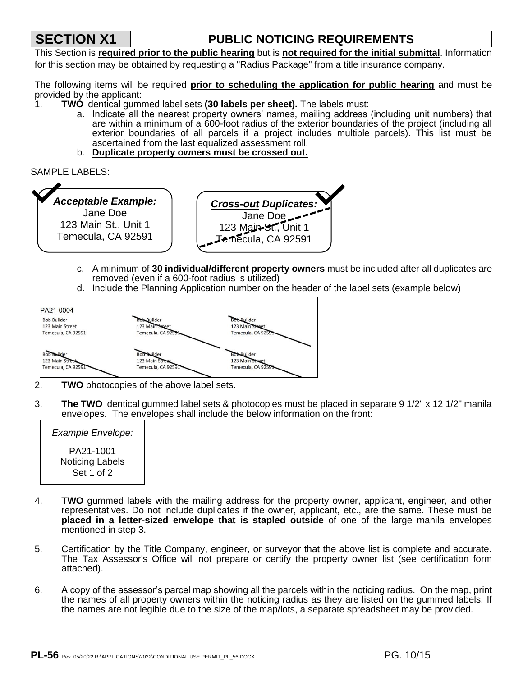# **SECTION X1 PUBLIC NOTICING REQUIREMENTS**

This Section is **required prior to the public hearing** but is **not required for the initial submittal**. Information for this section may be obtained by requesting a "Radius Package" from a title insurance company.

The following items will be required **prior to scheduling the application for public hearing** and must be provided by the applicant:

- 1. **TWO** identical gummed label sets **(30 labels per sheet).** The labels must:
	- a. Indicate all the nearest property owners' names, mailing address (including unit numbers) that are within a minimum of a 600-foot radius of the exterior boundaries of the project (including all exterior boundaries of all parcels if a project includes multiple parcels). This list must be ascertained from the last equalized assessment roll.
	- b. **Duplicate property owners must be crossed out.**

SAMPLE LABELS:



- c. A minimum of **30 individual/different property owners** must be included after all duplicates are removed (even if a 600-foot radius is utilized)
- d. Include the Planning Application number on the header of the label sets (example below)



- 2. **TWO** photocopies of the above label sets.
- 3. **The TWO** identical gummed label sets & photocopies must be placed in separate 9 1/2" x 12 1/2" manila envelopes. The envelopes shall include the below information on the front:

| Example Envelope:                          |  |
|--------------------------------------------|--|
| PA21-1001<br>Noticing Labels<br>Set 1 of 2 |  |

- 4. **TWO** gummed labels with the mailing address for the property owner, applicant, engineer, and other representatives. Do not include duplicates if the owner, applicant, etc., are the same. These must be **placed in a letter-sized envelope that is stapled outside** of one of the large manila envelopes mentioned in step 3.
- 5. Certification by the Title Company, engineer, or surveyor that the above list is complete and accurate. The Tax Assessor's Office will not prepare or certify the property owner list (see certification form attached).
- 6. A copy of the assessor's parcel map showing all the parcels within the noticing radius. On the map, print the names of all property owners within the noticing radius as they are listed on the gummed labels. If the names are not legible due to the size of the map/lots, a separate spreadsheet may be provided.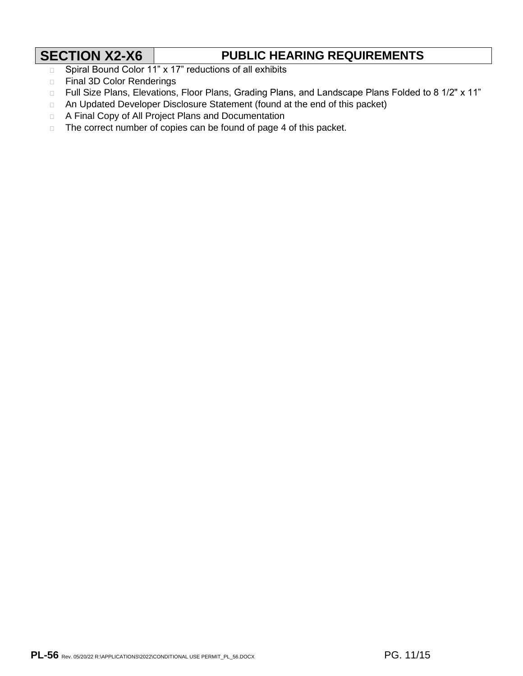# **SECTION X2-X6 PUBLIC HEARING REQUIREMENTS**

- □ Spiral Bound Color 11" x 17" reductions of all exhibits
- **Example 3D Color Renderings**
- D Full Size Plans, Elevations, Floor Plans, Grading Plans, and Landscape Plans Folded to 8 1/2" x 11"
- □ An Updated Developer Disclosure Statement (found at the end of this packet)
- A Final Copy of All Project Plans and Documentation
- $\Box$  The correct number of copies can be found of page 4 of this packet.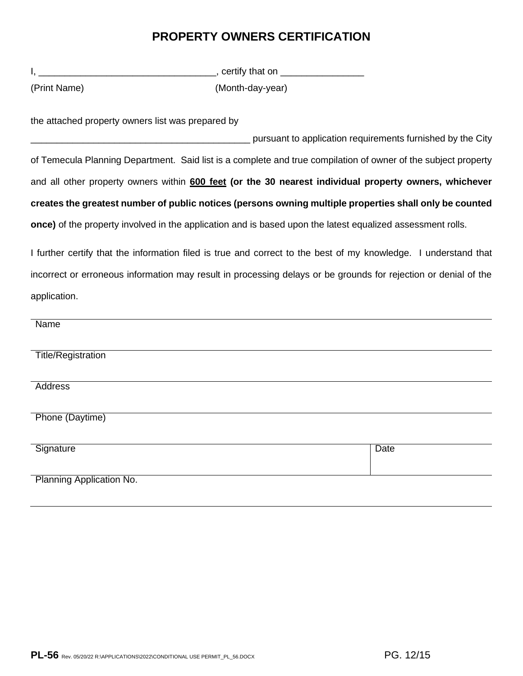# **PROPERTY OWNERS CERTIFICATION**

|                                                   | __________________________________, certify that on __________________                                     |                                                                                                                 |
|---------------------------------------------------|------------------------------------------------------------------------------------------------------------|-----------------------------------------------------------------------------------------------------------------|
| (Print Name)                                      | (Month-day-year)                                                                                           |                                                                                                                 |
| the attached property owners list was prepared by |                                                                                                            |                                                                                                                 |
|                                                   |                                                                                                            | pursuant to application requirements furnished by the City                                                      |
|                                                   |                                                                                                            | of Temecula Planning Department. Said list is a complete and true compilation of owner of the subject property  |
|                                                   |                                                                                                            | and all other property owners within 600 feet (or the 30 nearest individual property owners, whichever          |
|                                                   |                                                                                                            | creates the greatest number of public notices (persons owning multiple properties shall only be counted         |
|                                                   | once) of the property involved in the application and is based upon the latest equalized assessment rolls. |                                                                                                                 |
|                                                   |                                                                                                            | I further certify that the information filed is true and correct to the best of my knowledge. I understand that |
|                                                   |                                                                                                            | incorrect or erroneous information may result in processing delays or be grounds for rejection or denial of the |
| application.                                      |                                                                                                            |                                                                                                                 |
| <b>Name</b>                                       |                                                                                                            |                                                                                                                 |
| <b>Title/Registration</b>                         |                                                                                                            |                                                                                                                 |
| <b>Address</b>                                    |                                                                                                            |                                                                                                                 |
| Phone (Daytime)                                   |                                                                                                            |                                                                                                                 |
| Signature                                         |                                                                                                            | <b>Date</b>                                                                                                     |
| Planning Application No.                          |                                                                                                            |                                                                                                                 |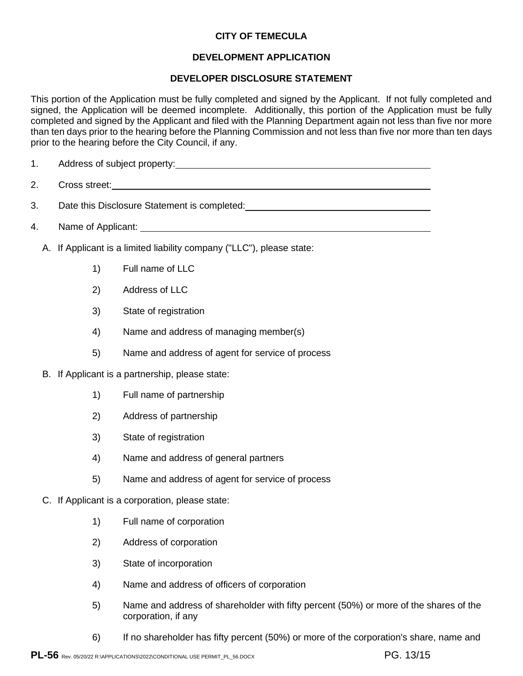# **CITY OF TEMECULA**

# **DEVELOPMENT APPLICATION**

## **DEVELOPER DISCLOSURE STATEMENT**

This portion of the Application must be fully completed and signed by the Applicant. If not fully completed and signed, the Application will be deemed incomplete. Additionally, this portion of the Application must be fully completed and signed by the Applicant and filed with the Planning Department again not less than five nor more than ten days prior to the hearing before the Planning Commission and not less than five nor more than ten days prior to the hearing before the City Council, if any.

- 1. Address of subject property: 1. Address of subject property:
- 2. Cross street:
- 3. Date this Disclosure Statement is completed:
- 4. Name of Applicant:
	- A. If Applicant is a limited liability company ("LLC"), please state:
		- 1) Full name of LLC
		- 2) Address of LLC
		- 3) State of registration
		- 4) Name and address of managing member(s)
		- 5) Name and address of agent for service of process
	- B. If Applicant is a partnership, please state:
		- 1) Full name of partnership
		- 2) Address of partnership
		- 3) State of registration
		- 4) Name and address of general partners
		- 5) Name and address of agent for service of process
	- C. If Applicant is a corporation, please state:
		- 1) Full name of corporation
		- 2) Address of corporation
		- 3) State of incorporation
		- 4) Name and address of officers of corporation
		- 5) Name and address of shareholder with fifty percent (50%) or more of the shares of the corporation, if any
		- 6) If no shareholder has fifty percent (50%) or more of the corporation's share, name and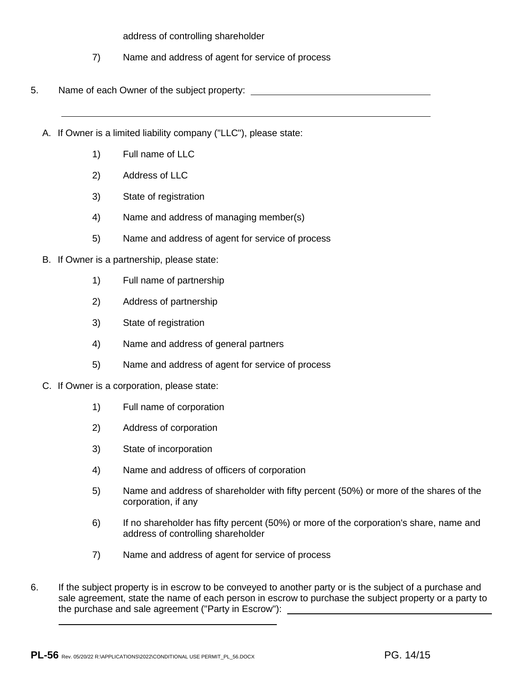address of controlling shareholder

- 7) Name and address of agent for service of process
- 5. Name of each Owner of the subject property:
	- A. If Owner is a limited liability company ("LLC"), please state:
		- 1) Full name of LLC
		- 2) Address of LLC
		- 3) State of registration
		- 4) Name and address of managing member(s)
		- 5) Name and address of agent for service of process
	- B. If Owner is a partnership, please state:
		- 1) Full name of partnership
		- 2) Address of partnership
		- 3) State of registration
		- 4) Name and address of general partners
		- 5) Name and address of agent for service of process
	- C. If Owner is a corporation, please state:
		- 1) Full name of corporation
		- 2) Address of corporation
		- 3) State of incorporation
		- 4) Name and address of officers of corporation
		- 5) Name and address of shareholder with fifty percent (50%) or more of the shares of the corporation, if any
		- 6) If no shareholder has fifty percent (50%) or more of the corporation's share, name and address of controlling shareholder
		- 7) Name and address of agent for service of process
- 6. If the subject property is in escrow to be conveyed to another party or is the subject of a purchase and sale agreement, state the name of each person in escrow to purchase the subject property or a party to the purchase and sale agreement ("Party in Escrow"):